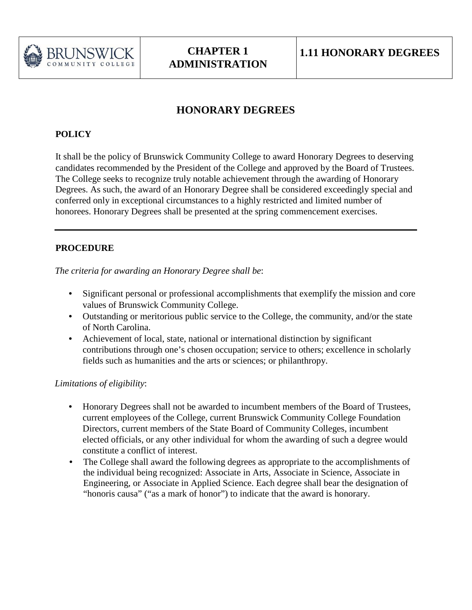

## **HONORARY DEGREES**

## **POLICY**

It shall be the policy of Brunswick Community College to award Honorary Degrees to deserving candidates recommended by the President of the College and approved by the Board of Trustees. The College seeks to recognize truly notable achievement through the awarding of Honorary Degrees. As such, the award of an Honorary Degree shall be considered exceedingly special and conferred only in exceptional circumstances to a highly restricted and limited number of honorees. Honorary Degrees shall be presented at the spring commencement exercises.

## **PROCEDURE**

*The criteria for awarding an Honorary Degree shall be*:

- Significant personal or professional accomplishments that exemplify the mission and core values of Brunswick Community College.
- Outstanding or meritorious public service to the College, the community, and/or the state of North Carolina.
- Achievement of local, state, national or international distinction by significant contributions through one's chosen occupation; service to others; excellence in scholarly fields such as humanities and the arts or sciences; or philanthropy.

## *Limitations of eligibility*:

- Honorary Degrees shall not be awarded to incumbent members of the Board of Trustees, current employees of the College, current Brunswick Community College Foundation Directors, current members of the State Board of Community Colleges, incumbent elected officials, or any other individual for whom the awarding of such a degree would constitute a conflict of interest.
- The College shall award the following degrees as appropriate to the accomplishments of the individual being recognized: Associate in Arts, Associate in Science, Associate in Engineering, or Associate in Applied Science. Each degree shall bear the designation of "honoris causa" ("as a mark of honor") to indicate that the award is honorary.